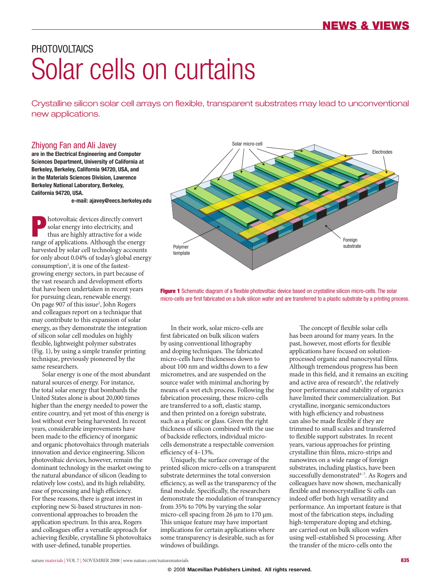# PHOTOVOI TAICS Solar cells on curtains

Crystalline silicon solar cell arrays on flexible, transparent substrates may lead to unconventional new applications.

### Zhiyong Fan and Ali Javey

**are in the Electrical Engineering and Computer Sciences Department, University of California at Berkeley, Berkeley, California 94720, USA, and in the Materials Sciences Division, Lawrence Berkeley National Laboratory, Berkeley, California 94720, USA.**

**e-mail: [ajavey@eecs.berkeley.edu](mailto:ajavey@eecs.berkeley.edu)**

**Photovoltaic devices directly convert<br>
solar energy into electricity, and<br>
thus are highly attractive for a wide<br>
range of embiestions.** Although the energy solar energy into electricity, and range of applications. Although the energy harvested by solar cell technology accounts for only about 0.04% of today's global energy consumption<sup>1</sup>, it is one of the fastestgrowing energy sectors, in part because of the vast research and development efforts that have been undertaken in recent years for pursuing clean, renewable energy. On page 907 of this issue<sup>2</sup>, John Rogers and colleagues report on a technique that may contribute to this expansion of solar energy, as they demonstrate the integration of silicon solar cell modules on highly flexible, lightweight polymer substrates (Fig. 1), by using a simple transfer printing technique, previously pioneered by the same researchers.

Solar energy is one of the most abundant natural sources of energy. For instance, the total solar energy that bombards the United States alone is about 20,000 times higher than the energy needed to power the entire country, and yet most of this energy is lost without ever being harvested. In recent years, considerable improvements have been made to the efficiency of inorganic and organic photovoltaics through materials innovation and device engineering. Silicon photovoltaic devices, however, remain the dominant technology in the market owing to the natural abundance of silicon (leading to relatively low costs), and its high reliability, ease of processing and high efficiency. For these reasons, there is great interest in exploring new Si-based structures in nonconventional approaches to broaden the application spectrum. In this area, Rogers and colleagues offer a versatile approach for achieving flexible, crystalline Si photovoltaics with user-defined, tunable properties.



Figure 1 Schematic diagram of a flexible photovoltaic device based on crystalline silicon micro-cells. The solar micro-cells are first fabricated on a bulk silicon wafer and are transferred to a plastic substrate by a printing process.

In their work, solar micro-cells are first fabricated on bulk silicon wafers by using conventional lithography and doping techniques. The fabricated micro-cells have thicknesses down to about 100 nm and widths down to a few micrometres, and are suspended on the source wafer with minimal anchoring by means of a wet etch process. Following the fabrication processing, these micro-cells are transferred to a soft, elastic stamp, and then printed on a foreign substrate, such as a plastic or glass. Given the right thickness of silicon combined with the use of backside reflectors, individual microcells demonstrate a respectable conversion efficiency of 4–13%.

Uniquely, the surface coverage of the printed silicon micro-cells on a transparent substrate determines the total conversion efficiency, as well as the transparency of the final module. Specifically, the researchers demonstrate the modulation of transparency from 35% to 70% by varying the solar micro-cell spacing from 26 μm to 170 μm. This unique feature may have important implications for certain applications where some transparency is desirable, such as for windows of buildings.

The concept of flexible solar cells has been around for many years. In the past, however, most efforts for flexible applications have focused on solutionprocessed organic and nanocrystal films. Although tremendous progress has been made in this field, and it remains an exciting and active area of research<sup>3</sup>, the relatively poor performance and stability of organics have limited their commercialization. But crystalline, inorganic semiconductors with high efficiency and robustness can also be made flexible if they are trimmed to small scales and transferred to flexible support substrates. In recent years, various approaches for printing crystalline thin films, micro-strips and nanowires on a wide range of foreign substrates, including plastics, have been successfully demonstrated<sup>4-7</sup>. As Rogers and colleagues have now shown, mechanically flexible and monocrystalline Si cells can indeed offer both high versatility and performance. An important feature is that most of the fabrication steps, including high-temperature doping and etching, are carried out on bulk silicon wafers using well-established Si processing. After the transfer of the micro-cells onto the